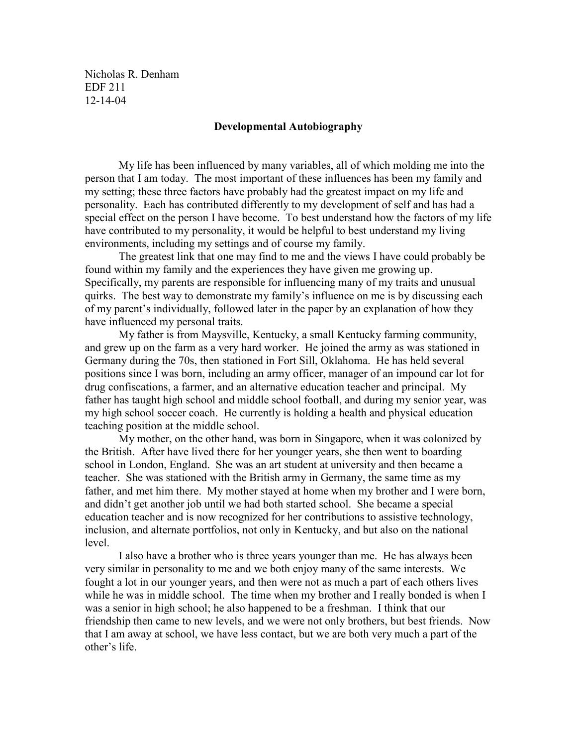Nicholas R. Denham EDF 211 12-14-04

## Developmental Autobiography

 My life has been influenced by many variables, all of which molding me into the person that I am today. The most important of these influences has been my family and my setting; these three factors have probably had the greatest impact on my life and personality. Each has contributed differently to my development of self and has had a special effect on the person I have become. To best understand how the factors of my life have contributed to my personality, it would be helpful to best understand my living environments, including my settings and of course my family.

 The greatest link that one may find to me and the views I have could probably be found within my family and the experiences they have given me growing up. Specifically, my parents are responsible for influencing many of my traits and unusual quirks. The best way to demonstrate my family's influence on me is by discussing each of my parent's individually, followed later in the paper by an explanation of how they have influenced my personal traits.

My father is from Maysville, Kentucky, a small Kentucky farming community, and grew up on the farm as a very hard worker. He joined the army as was stationed in Germany during the 70s, then stationed in Fort Sill, Oklahoma. He has held several positions since I was born, including an army officer, manager of an impound car lot for drug confiscations, a farmer, and an alternative education teacher and principal. My father has taught high school and middle school football, and during my senior year, was my high school soccer coach. He currently is holding a health and physical education teaching position at the middle school.

My mother, on the other hand, was born in Singapore, when it was colonized by the British. After have lived there for her younger years, she then went to boarding school in London, England. She was an art student at university and then became a teacher. She was stationed with the British army in Germany, the same time as my father, and met him there. My mother stayed at home when my brother and I were born, and didn't get another job until we had both started school. She became a special education teacher and is now recognized for her contributions to assistive technology, inclusion, and alternate portfolios, not only in Kentucky, and but also on the national level.

I also have a brother who is three years younger than me. He has always been very similar in personality to me and we both enjoy many of the same interests. We fought a lot in our younger years, and then were not as much a part of each others lives while he was in middle school. The time when my brother and I really bonded is when I was a senior in high school; he also happened to be a freshman. I think that our friendship then came to new levels, and we were not only brothers, but best friends. Now that I am away at school, we have less contact, but we are both very much a part of the other's life.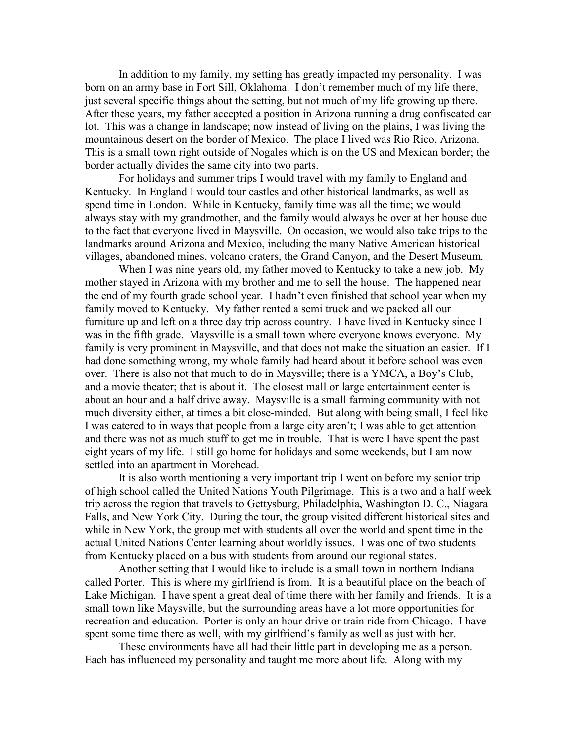In addition to my family, my setting has greatly impacted my personality. I was born on an army base in Fort Sill, Oklahoma. I don't remember much of my life there, just several specific things about the setting, but not much of my life growing up there. After these years, my father accepted a position in Arizona running a drug confiscated car lot. This was a change in landscape; now instead of living on the plains, I was living the mountainous desert on the border of Mexico. The place I lived was Rio Rico, Arizona. This is a small town right outside of Nogales which is on the US and Mexican border; the border actually divides the same city into two parts.

For holidays and summer trips I would travel with my family to England and Kentucky. In England I would tour castles and other historical landmarks, as well as spend time in London. While in Kentucky, family time was all the time; we would always stay with my grandmother, and the family would always be over at her house due to the fact that everyone lived in Maysville. On occasion, we would also take trips to the landmarks around Arizona and Mexico, including the many Native American historical villages, abandoned mines, volcano craters, the Grand Canyon, and the Desert Museum.

When I was nine years old, my father moved to Kentucky to take a new job. My mother stayed in Arizona with my brother and me to sell the house. The happened near the end of my fourth grade school year. I hadn't even finished that school year when my family moved to Kentucky. My father rented a semi truck and we packed all our furniture up and left on a three day trip across country. I have lived in Kentucky since I was in the fifth grade. Maysville is a small town where everyone knows everyone. My family is very prominent in Maysville, and that does not make the situation an easier. If I had done something wrong, my whole family had heard about it before school was even over. There is also not that much to do in Maysville; there is a YMCA, a Boy's Club, and a movie theater; that is about it. The closest mall or large entertainment center is about an hour and a half drive away. Maysville is a small farming community with not much diversity either, at times a bit close-minded. But along with being small, I feel like I was catered to in ways that people from a large city aren't; I was able to get attention and there was not as much stuff to get me in trouble. That is were I have spent the past eight years of my life. I still go home for holidays and some weekends, but I am now settled into an apartment in Morehead.

It is also worth mentioning a very important trip I went on before my senior trip of high school called the United Nations Youth Pilgrimage. This is a two and a half week trip across the region that travels to Gettysburg, Philadelphia, Washington D. C., Niagara Falls, and New York City. During the tour, the group visited different historical sites and while in New York, the group met with students all over the world and spent time in the actual United Nations Center learning about worldly issues. I was one of two students from Kentucky placed on a bus with students from around our regional states.

Another setting that I would like to include is a small town in northern Indiana called Porter. This is where my girlfriend is from. It is a beautiful place on the beach of Lake Michigan. I have spent a great deal of time there with her family and friends. It is a small town like Maysville, but the surrounding areas have a lot more opportunities for recreation and education. Porter is only an hour drive or train ride from Chicago. I have spent some time there as well, with my girlfriend's family as well as just with her.

These environments have all had their little part in developing me as a person. Each has influenced my personality and taught me more about life. Along with my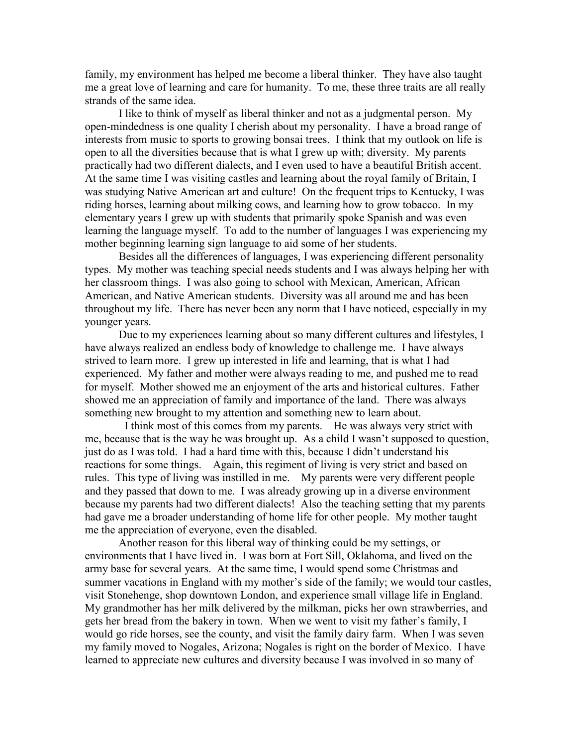family, my environment has helped me become a liberal thinker. They have also taught me a great love of learning and care for humanity. To me, these three traits are all really strands of the same idea.

I like to think of myself as liberal thinker and not as a judgmental person. My open-mindedness is one quality I cherish about my personality. I have a broad range of interests from music to sports to growing bonsai trees. I think that my outlook on life is open to all the diversities because that is what I grew up with; diversity. My parents practically had two different dialects, and I even used to have a beautiful British accent. At the same time I was visiting castles and learning about the royal family of Britain, I was studying Native American art and culture! On the frequent trips to Kentucky, I was riding horses, learning about milking cows, and learning how to grow tobacco. In my elementary years I grew up with students that primarily spoke Spanish and was even learning the language myself. To add to the number of languages I was experiencing my mother beginning learning sign language to aid some of her students.

Besides all the differences of languages, I was experiencing different personality types. My mother was teaching special needs students and I was always helping her with her classroom things. I was also going to school with Mexican, American, African American, and Native American students. Diversity was all around me and has been throughout my life. There has never been any norm that I have noticed, especially in my younger years.

Due to my experiences learning about so many different cultures and lifestyles, I have always realized an endless body of knowledge to challenge me. I have always strived to learn more. I grew up interested in life and learning, that is what I had experienced. My father and mother were always reading to me, and pushed me to read for myself. Mother showed me an enjoyment of the arts and historical cultures. Father showed me an appreciation of family and importance of the land. There was always something new brought to my attention and something new to learn about.

 I think most of this comes from my parents. He was always very strict with me, because that is the way he was brought up. As a child I wasn't supposed to question, just do as I was told. I had a hard time with this, because I didn't understand his reactions for some things. Again, this regiment of living is very strict and based on rules. This type of living was instilled in me. My parents were very different people and they passed that down to me. I was already growing up in a diverse environment because my parents had two different dialects! Also the teaching setting that my parents had gave me a broader understanding of home life for other people. My mother taught me the appreciation of everyone, even the disabled.

Another reason for this liberal way of thinking could be my settings, or environments that I have lived in. I was born at Fort Sill, Oklahoma, and lived on the army base for several years. At the same time, I would spend some Christmas and summer vacations in England with my mother's side of the family; we would tour castles, visit Stonehenge, shop downtown London, and experience small village life in England. My grandmother has her milk delivered by the milkman, picks her own strawberries, and gets her bread from the bakery in town. When we went to visit my father's family, I would go ride horses, see the county, and visit the family dairy farm. When I was seven my family moved to Nogales, Arizona; Nogales is right on the border of Mexico. I have learned to appreciate new cultures and diversity because I was involved in so many of